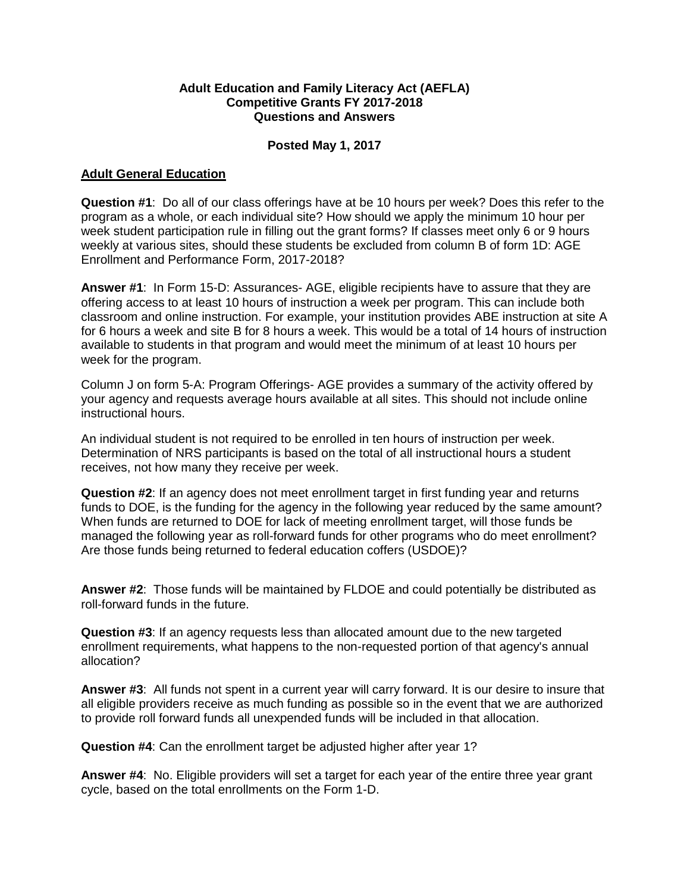## **Adult Education and Family Literacy Act (AEFLA) Competitive Grants FY 2017-2018 Questions and Answers**

## **Posted May 1, 2017**

## **Adult General Education**

**Question #1**: Do all of our class offerings have at be 10 hours per week? Does this refer to the program as a whole, or each individual site? How should we apply the minimum 10 hour per week student participation rule in filling out the grant forms? If classes meet only 6 or 9 hours weekly at various sites, should these students be excluded from column B of form 1D: AGE Enrollment and Performance Form, 2017-2018?

**Answer #1**: In Form 15-D: Assurances- AGE, eligible recipients have to assure that they are offering access to at least 10 hours of instruction a week per program. This can include both classroom and online instruction. For example, your institution provides ABE instruction at site A for 6 hours a week and site B for 8 hours a week. This would be a total of 14 hours of instruction available to students in that program and would meet the minimum of at least 10 hours per week for the program.

Column J on form 5-A: Program Offerings- AGE provides a summary of the activity offered by your agency and requests average hours available at all sites. This should not include online instructional hours.

An individual student is not required to be enrolled in ten hours of instruction per week. Determination of NRS participants is based on the total of all instructional hours a student receives, not how many they receive per week.

**Question #2**: If an agency does not meet enrollment target in first funding year and returns funds to DOE, is the funding for the agency in the following year reduced by the same amount? When funds are returned to DOE for lack of meeting enrollment target, will those funds be managed the following year as roll-forward funds for other programs who do meet enrollment? Are those funds being returned to federal education coffers (USDOE)?

**Answer #2**: Those funds will be maintained by FLDOE and could potentially be distributed as roll-forward funds in the future.

**Question #3**: If an agency requests less than allocated amount due to the new targeted enrollment requirements, what happens to the non-requested portion of that agency's annual allocation?

**Answer #3**: All funds not spent in a current year will carry forward. It is our desire to insure that all eligible providers receive as much funding as possible so in the event that we are authorized to provide roll forward funds all unexpended funds will be included in that allocation.

**Question #4**: Can the enrollment target be adjusted higher after year 1?

**Answer #4**: No. Eligible providers will set a target for each year of the entire three year grant cycle, based on the total enrollments on the Form 1-D.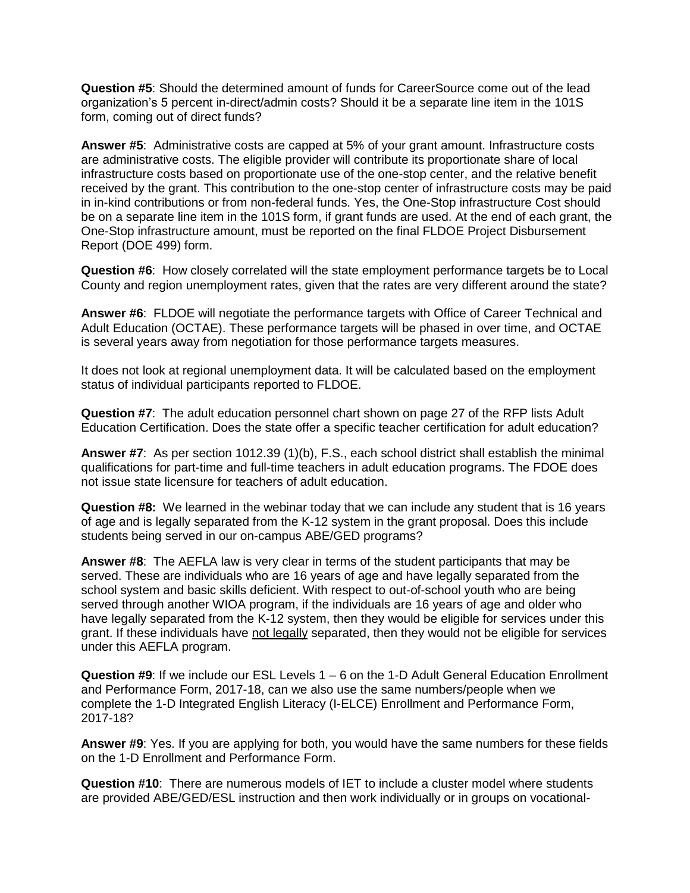**Question #5**: Should the determined amount of funds for CareerSource come out of the lead organization's 5 percent in-direct/admin costs? Should it be a separate line item in the 101S form, coming out of direct funds?

**Answer #5**: Administrative costs are capped at 5% of your grant amount. Infrastructure costs are administrative costs. The eligible provider will contribute its proportionate share of local infrastructure costs based on proportionate use of the one-stop center, and the relative benefit received by the grant. This contribution to the one-stop center of infrastructure costs may be paid in in-kind contributions or from non-federal funds. Yes, the One-Stop infrastructure Cost should be on a separate line item in the 101S form, if grant funds are used. At the end of each grant, the One-Stop infrastructure amount, must be reported on the final FLDOE Project Disbursement Report (DOE 499) form.

**Question #6**: How closely correlated will the state employment performance targets be to Local County and region unemployment rates, given that the rates are very different around the state?

**Answer #6**: FLDOE will negotiate the performance targets with Office of Career Technical and Adult Education (OCTAE). These performance targets will be phased in over time, and OCTAE is several years away from negotiation for those performance targets measures.

It does not look at regional unemployment data. It will be calculated based on the employment status of individual participants reported to FLDOE.

**Question #7**: The adult education personnel chart shown on page 27 of the RFP lists Adult Education Certification. Does the state offer a specific teacher certification for adult education?

**Answer #7**: As per section 1012.39 (1)(b), F.S., each school district shall establish the minimal qualifications for part-time and full-time teachers in adult education programs. The FDOE does not issue state licensure for teachers of adult education.

**Question #8:** We learned in the webinar today that we can include any student that is 16 years of age and is legally separated from the K-12 system in the grant proposal. Does this include students being served in our on-campus ABE/GED programs?

**Answer #8**: The AEFLA law is very clear in terms of the student participants that may be served. These are individuals who are 16 years of age and have legally separated from the school system and basic skills deficient. With respect to out-of-school youth who are being served through another WIOA program, if the individuals are 16 years of age and older who have legally separated from the K-12 system, then they would be eligible for services under this grant. If these individuals have not legally separated, then they would not be eligible for services under this AEFLA program.

**Question #9**: If we include our ESL Levels 1 – 6 on the 1-D Adult General Education Enrollment and Performance Form, 2017-18, can we also use the same numbers/people when we complete the 1-D Integrated English Literacy (I-ELCE) Enrollment and Performance Form, 2017-18?

**Answer #9**: Yes. If you are applying for both, you would have the same numbers for these fields on the 1-D Enrollment and Performance Form.

**Question #10**: There are numerous models of IET to include a cluster model where students are provided ABE/GED/ESL instruction and then work individually or in groups on vocational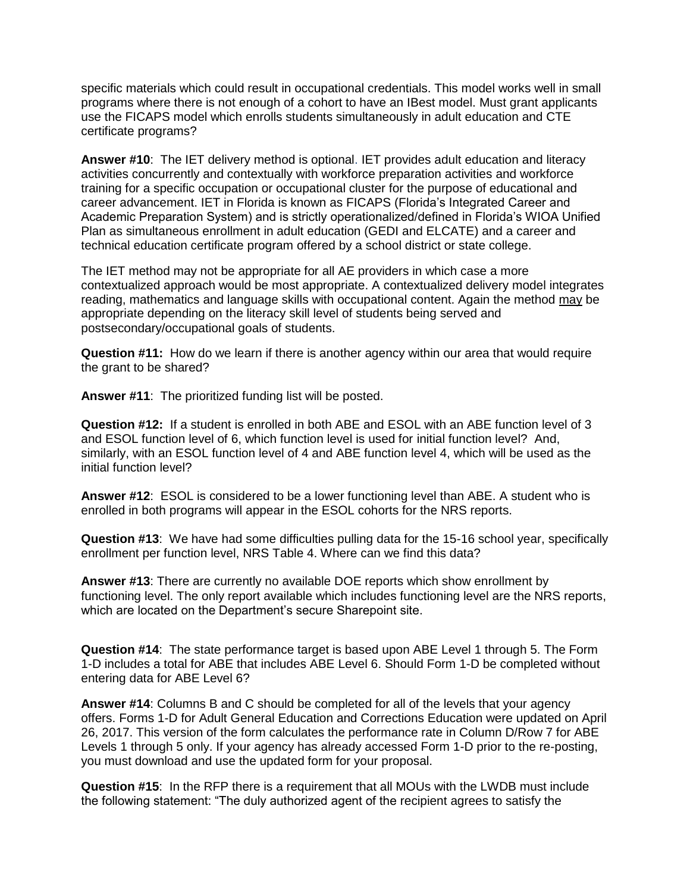specific materials which could result in occupational credentials. This model works well in small programs where there is not enough of a cohort to have an IBest model. Must grant applicants use the FICAPS model which enrolls students simultaneously in adult education and CTE certificate programs?

**Answer #10**: The IET delivery method is optional. IET provides adult education and literacy activities concurrently and contextually with workforce preparation activities and workforce training for a specific occupation or occupational cluster for the purpose of educational and career advancement. IET in Florida is known as FICAPS (Florida's Integrated Career and Academic Preparation System) and is strictly operationalized/defined in Florida's WIOA Unified Plan as simultaneous enrollment in adult education (GEDI and ELCATE) and a career and technical education certificate program offered by a school district or state college.

The IET method may not be appropriate for all AE providers in which case a more contextualized approach would be most appropriate. A contextualized delivery model integrates reading, mathematics and language skills with occupational content. Again the method may be appropriate depending on the literacy skill level of students being served and postsecondary/occupational goals of students.

**Question #11:** How do we learn if there is another agency within our area that would require the grant to be shared?

**Answer #11**: The prioritized funding list will be posted.

**Question #12:** If a student is enrolled in both ABE and ESOL with an ABE function level of 3 and ESOL function level of 6, which function level is used for initial function level? And, similarly, with an ESOL function level of 4 and ABE function level 4, which will be used as the initial function level?

**Answer #12**: ESOL is considered to be a lower functioning level than ABE. A student who is enrolled in both programs will appear in the ESOL cohorts for the NRS reports.

**Question #13**: We have had some difficulties pulling data for the 15-16 school year, specifically enrollment per function level, NRS Table 4. Where can we find this data?

**Answer #13**: There are currently no available DOE reports which show enrollment by functioning level. The only report available which includes functioning level are the NRS reports, which are located on the Department's secure Sharepoint site.

**Question #14**: The state performance target is based upon ABE Level 1 through 5. The Form 1-D includes a total for ABE that includes ABE Level 6. Should Form 1-D be completed without entering data for ABE Level 6?

**Answer #14**: Columns B and C should be completed for all of the levels that your agency offers. Forms 1-D for Adult General Education and Corrections Education were updated on April 26, 2017. This version of the form calculates the performance rate in Column D/Row 7 for ABE Levels 1 through 5 only. If your agency has already accessed Form 1-D prior to the re-posting, you must download and use the updated form for your proposal.

**Question #15**: In the RFP there is a requirement that all MOUs with the LWDB must include the following statement: "The duly authorized agent of the recipient agrees to satisfy the